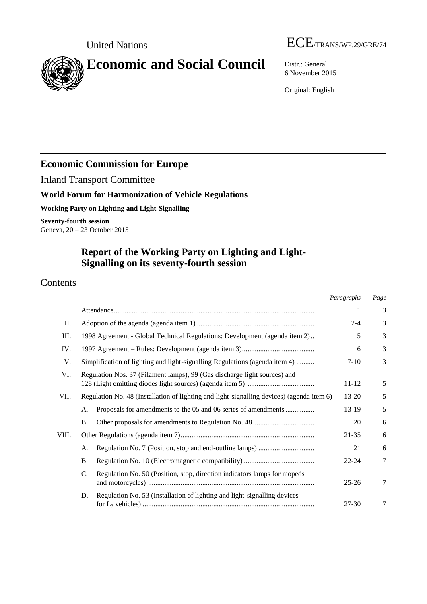# **Economic and Social Council** Distr.: General

6 November 2015

Original: English

# **Economic Commission for Europe**

Inland Transport Committee

## **World Forum for Harmonization of Vehicle Regulations**

**Working Party on Lighting and Light-Signalling**

**Seventy-fourth session** Geneva, 20 – 23 October 2015

## **Report of the Working Party on Lighting and Light-Signalling on its seventy-fourth session**

## Contents

|       |                                                                                           | Paragraphs | Page |
|-------|-------------------------------------------------------------------------------------------|------------|------|
| I.    |                                                                                           | 1          | 3    |
| П.    |                                                                                           | $2 - 4$    | 3    |
| Ш.    | 1998 Agreement - Global Technical Regulations: Development (agenda item 2)                | 5          | 3    |
| IV.   |                                                                                           | 6          | 3    |
| V.    | Simplification of lighting and light-signalling Regulations (agenda item 4)               | $7-10$     | 3    |
| VI.   | Regulation Nos. 37 (Filament lamps), 99 (Gas discharge light sources) and                 | 11-12      | 5    |
| VII.  | Regulation No. 48 (Installation of lighting and light-signalling devices) (agenda item 6) | 13-20      | 5    |
|       | Proposals for amendments to the 05 and 06 series of amendments<br>А.                      | 13-19      | 5    |
|       | Β.                                                                                        | 20         | 6    |
| VIII. |                                                                                           | 21-35      | 6    |
|       | А.                                                                                        | 21         | 6    |
|       | В.                                                                                        | $22 - 24$  | 7    |
|       | C.<br>Regulation No. 50 (Position, stop, direction indicators lamps for mopeds            | $25 - 26$  | 7    |
|       | Regulation No. 53 (Installation of lighting and light-signalling devices<br>D.            | 27-30      | 7    |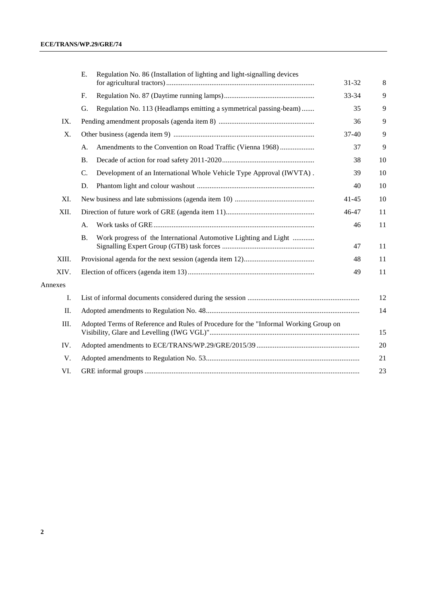|         | Ε.        | Regulation No. 86 (Installation of lighting and light-signalling devices             | 31-32 | 8  |
|---------|-----------|--------------------------------------------------------------------------------------|-------|----|
|         | F.        |                                                                                      | 33-34 | 9  |
|         | G.        | Regulation No. 113 (Headlamps emitting a symmetrical passing-beam)                   | 35    | 9  |
| IX.     |           |                                                                                      | 36    | 9  |
| X.      |           |                                                                                      | 37-40 | 9  |
|         | A.        | Amendments to the Convention on Road Traffic (Vienna 1968)                           | 37    | 9  |
|         | <b>B.</b> |                                                                                      | 38    | 10 |
|         | C.        | Development of an International Whole Vehicle Type Approval (IWVTA).                 | 39    | 10 |
|         | D.        |                                                                                      | 40    | 10 |
| XI.     |           |                                                                                      | 41-45 | 10 |
| XII.    |           |                                                                                      | 46-47 | 11 |
|         | A.        |                                                                                      | 46    | 11 |
|         | <b>B.</b> | Work progress of the International Automotive Lighting and Light                     | 47    | 11 |
| XIII.   |           |                                                                                      | 48    | 11 |
| XIV.    |           |                                                                                      | 49    | 11 |
| Annexes |           |                                                                                      |       |    |
| I.      |           |                                                                                      |       | 12 |
| Π.      |           |                                                                                      |       | 14 |
| Ш.      |           | Adopted Terms of Reference and Rules of Procedure for the "Informal Working Group on |       | 15 |
| IV.     |           |                                                                                      |       | 20 |
| V.      |           |                                                                                      |       | 21 |
| VI.     |           |                                                                                      |       | 23 |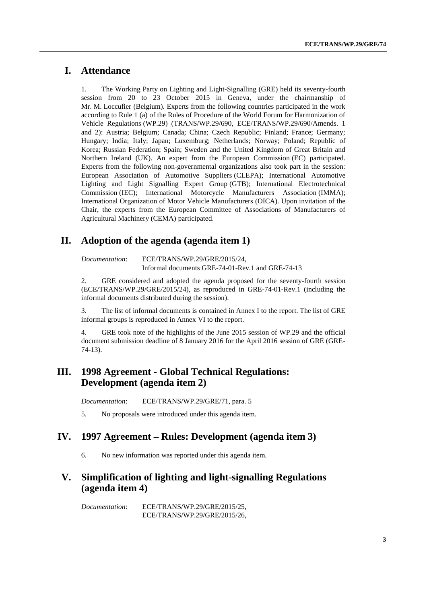## **I. Attendance**

1. The Working Party on Lighting and Light-Signalling (GRE) held its seventy-fourth session from 20 to 23 October 2015 in Geneva, under the chairmanship of Mr. M. Loccufier (Belgium). Experts from the following countries participated in the work according to Rule 1 (a) of the Rules of Procedure of the World Forum for Harmonization of Vehicle Regulations (WP.29) (TRANS/WP.29/690, ECE/TRANS/WP.29/690/Amends. 1 and 2): Austria; Belgium; Canada; China; Czech Republic; Finland; France; Germany; Hungary; India; Italy; Japan; Luxemburg; Netherlands; Norway; Poland; Republic of Korea; Russian Federation; Spain; Sweden and the United Kingdom of Great Britain and Northern Ireland (UK). An expert from the European Commission (EC) participated. Experts from the following non-governmental organizations also took part in the session: European Association of Automotive Suppliers (CLEPA); International Automotive Lighting and Light Signalling Expert Group (GTB); International Electrotechnical Commission (IEC); International Motorcycle Manufacturers Association (IMMA); International Organization of Motor Vehicle Manufacturers (OICA). Upon invitation of the Chair, the experts from the European Committee of Associations of Manufacturers of Agricultural Machinery (CEMA) participated.

## **II. Adoption of the agenda (agenda item 1)**

*Documentation*: ECE/TRANS/WP.29/GRE/2015/24,

Informal documents GRE-74-01-Rev.1 and GRE-74-13

2. GRE considered and adopted the agenda proposed for the seventy-fourth session (ECE/TRANS/WP.29/GRE/2015/24), as reproduced in GRE-74-01-Rev.1 (including the informal documents distributed during the session).

3. The list of informal documents is contained in Annex I to the report. The list of GRE informal groups is reproduced in Annex VI to the report.

4. GRE took note of the highlights of the June 2015 session of WP.29 and the official document submission deadline of 8 January 2016 for the April 2016 session of GRE (GRE-74-13).

## <span id="page-2-0"></span>**III. 1998 Agreement - Global Technical Regulations: Development (agenda item 2)**

*Documentation*: ECE/TRANS/WP.29/GRE/71, para. 5

5. No proposals were introduced under this agenda item.

#### **IV. 1997 Agreement – Rules: Development (agenda item 3)**

6. No new information was reported under this agenda item.

## **V. Simplification of lighting and light-signalling Regulations (agenda item 4)**

*Documentation*: ECE/TRANS/WP.29/GRE/2015/25, ECE/TRANS/WP.29/GRE/2015/26,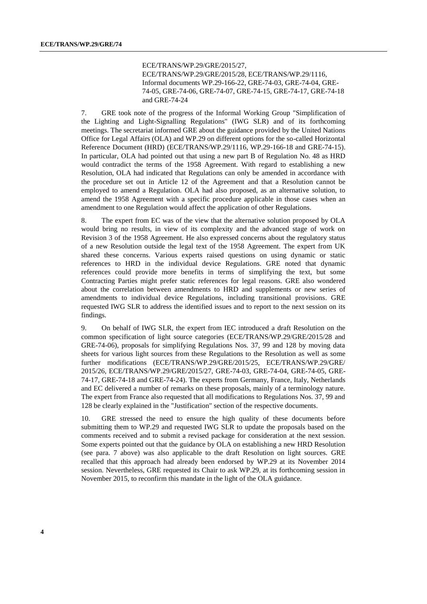ECE/TRANS/WP.29/GRE/2015/27, ECE/TRANS/WP.29/GRE/2015/28, ECE/TRANS/WP.29/1116, Informal documents WP.29-166-22, GRE-74-03, GRE-74-04, GRE-74-05, GRE-74-06, GRE-74-07, GRE-74-15, GRE-74-17, GRE-74-18 and GRE-74-24

7. GRE took note of the progress of the Informal Working Group "Simplification of the Lighting and Light-Signalling Regulations" (IWG SLR) and of its forthcoming meetings. The secretariat informed GRE about the guidance provided by the United Nations Office for Legal Affairs (OLA) and WP.29 on different options for the so-called Horizontal Reference Document (HRD) (ECE/TRANS/WP.29/1116, WP.29-166-18 and GRE-74-15). In particular, OLA had pointed out that using a new part B of Regulation No. 48 as HRD would contradict the terms of the 1958 Agreement. With regard to establishing a new Resolution, OLA had indicated that Regulations can only be amended in accordance with the procedure set out in Article 12 of the Agreement and that a Resolution cannot be employed to amend a Regulation. OLA had also proposed, as an alternative solution, to amend the 1958 Agreement with a specific procedure applicable in those cases when an amendment to one Regulation would affect the application of other Regulations.

8. The expert from EC was of the view that the alternative solution proposed by OLA would bring no results, in view of its complexity and the advanced stage of work on Revision 3 of the 1958 Agreement. He also expressed concerns about the regulatory status of a new Resolution outside the legal text of the 1958 Agreement. The expert from UK shared these concerns. Various experts raised questions on using dynamic or static references to HRD in the individual device Regulations. GRE noted that dynamic references could provide more benefits in terms of simplifying the text, but some Contracting Parties might prefer static references for legal reasons. GRE also wondered about the correlation between amendments to HRD and supplements or new series of amendments to individual device Regulations, including transitional provisions. GRE requested IWG SLR to address the identified issues and to report to the next session on its findings.

9. On behalf of IWG SLR, the expert from IEC introduced a draft Resolution on the common specification of light source categories (ECE/TRANS/WP.29/GRE/2015/28 and GRE-74-06), proposals for simplifying Regulations Nos. 37, 99 and 128 by moving data sheets for various light sources from these Regulations to the Resolution as well as some further modifications (ECE/TRANS/WP.29/GRE/2015/25, ECE/TRANS/WP.29/GRE/ 2015/26, ECE/TRANS/WP.29/GRE/2015/27, GRE-74-03, GRE-74-04, GRE-74-05, GRE-74-17, GRE-74-18 and GRE-74-24). The experts from Germany, France, Italy, Netherlands and EC delivered a number of remarks on these proposals, mainly of a terminology nature. The expert from France also requested that all modifications to Regulations Nos. 37, 99 and 128 be clearly explained in the "Justification" section of the respective documents.

10. GRE stressed the need to ensure the high quality of these documents before submitting them to WP.29 and requested IWG SLR to update the proposals based on the comments received and to submit a revised package for consideration at the next session. Some experts pointed out that the guidance by OLA on establishing a new HRD Resolution (see para. 7 above) was also applicable to the draft Resolution on light sources. GRE recalled that this approach had already been endorsed by WP.29 at its November 2014 session. Nevertheless, GRE requested its Chair to ask WP.29, at its forthcoming session in November 2015, to reconfirm this mandate in the light of the OLA guidance.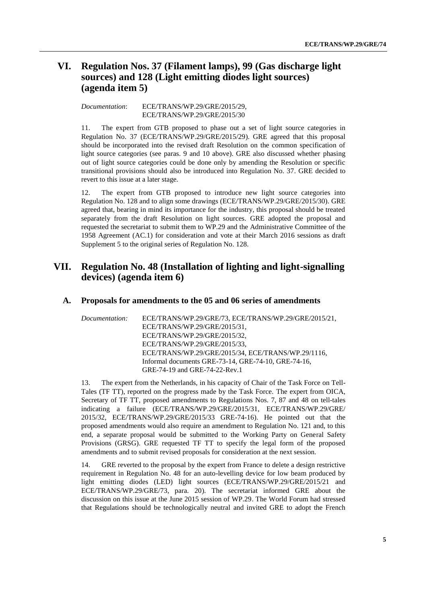## **VI. Regulation Nos. 37 (Filament lamps), 99 (Gas discharge light sources) and 128 (Light emitting diodes light sources) (agenda item 5)**

*Documentation*: ECE/TRANS/WP.29/GRE/2015/29, ECE/TRANS/WP.29/GRE/2015/30

11. The expert from GTB proposed to phase out a set of light source categories in Regulation No. 37 (ECE/TRANS/WP.29/GRE/2015/29). GRE agreed that this proposal should be incorporated into the revised draft Resolution on the common specification of light source categories (see paras. 9 and 10 above). GRE also discussed whether phasing out of light source categories could be done only by amending the Resolution or specific transitional provisions should also be introduced into Regulation No. 37. GRE decided to revert to this issue at a later stage.

12. The expert from GTB proposed to introduce new light source categories into Regulation No. 128 and to align some drawings (ECE/TRANS/WP.29/GRE/2015/30). GRE agreed that, bearing in mind its importance for the industry, this proposal should be treated separately from the draft Resolution on light sources. GRE adopted the proposal and requested the secretariat to submit them to WP.29 and the Administrative Committee of the 1958 Agreement (AC.1) for consideration and vote at their March 2016 sessions as draft Supplement 5 to the original series of Regulation No. 128.

## **VII. Regulation No. 48 (Installation of lighting and light-signalling devices) (agenda item 6)**

#### **A. Proposals for amendments to the 05 and 06 series of amendments**

*Documentation:* ECE/TRANS/WP.29/GRE/73, ECE/TRANS/WP.29/GRE/2015/21, ECE/TRANS/WP.29/GRE/2015/31, ECE/TRANS/WP.29/GRE/2015/32, ECE/TRANS/WP.29/GRE/2015/33, ECE/TRANS/WP.29/GRE/2015/34, ECE/TRANS/WP.29/1116, Informal documents GRE-73-14, GRE-74-10, GRE-74-16, GRE-74-19 and GRE-74-22-Rev.1

13. The expert from the Netherlands, in his capacity of Chair of the Task Force on Tell-Tales (TF TT), reported on the progress made by the Task Force. The expert from OICA, Secretary of TF TT, proposed amendments to Regulations Nos. 7, 87 and 48 on tell-tales indicating a failure (ECE/TRANS/WP.29/GRE/2015/31, ECE/TRANS/WP.29/GRE/ 2015/32, ECE/TRANS/WP.29/GRE/2015/33 GRE-74-16). He pointed out that the proposed amendments would also require an amendment to Regulation No. 121 and, to this end, a separate proposal would be submitted to the Working Party on General Safety Provisions (GRSG). GRE requested TF TT to specify the legal form of the proposed amendments and to submit revised proposals for consideration at the next session.

14. GRE reverted to the proposal by the expert from France to delete a design restrictive requirement in Regulation No. 48 for an auto-levelling device for low beam produced by light emitting diodes (LED) light sources (ECE/TRANS/WP.29/GRE/2015/21 and ECE/TRANS/WP.29/GRE/73, para. 20). The secretariat informed GRE about the discussion on this issue at the June 2015 session of WP.29. The World Forum had stressed that Regulations should be technologically neutral and invited GRE to adopt the French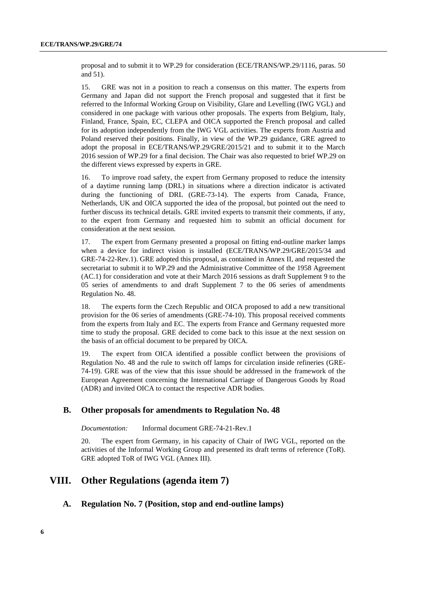proposal and to submit it to WP.29 for consideration (ECE/TRANS/WP.29/1116, paras. 50 and 51).

15. GRE was not in a position to reach a consensus on this matter. The experts from Germany and Japan did not support the French proposal and suggested that it first be referred to the Informal Working Group on Visibility, Glare and Levelling (IWG VGL) and considered in one package with various other proposals. The experts from Belgium, Italy, Finland, France, Spain, EC, CLEPA and OICA supported the French proposal and called for its adoption independently from the IWG VGL activities. The experts from Austria and Poland reserved their positions. Finally, in view of the WP.29 guidance, GRE agreed to adopt the proposal in ECE/TRANS/WP.29/GRE/2015/21 and to submit it to the March 2016 session of WP.29 for a final decision. The Chair was also requested to brief WP.29 on the different views expressed by experts in GRE.

16. To improve road safety, the expert from Germany proposed to reduce the intensity of a daytime running lamp (DRL) in situations where a direction indicator is activated during the functioning of DRL (GRE-73-14). The experts from Canada, France, Netherlands, UK and OICA supported the idea of the proposal, but pointed out the need to further discuss its technical details. GRE invited experts to transmit their comments, if any, to the expert from Germany and requested him to submit an official document for consideration at the next session.

17. The expert from Germany presented a proposal on fitting end-outline marker lamps when a device for indirect vision is installed (ECE/TRANS/WP.29/GRE/2015/34 and GRE-74-22-Rev.1). GRE adopted this proposal, as contained in Annex II, and requested the secretariat to submit it to WP.29 and the Administrative Committee of the 1958 Agreement (AC.1) for consideration and vote at their March 2016 sessions as draft Supplement 9 to the 05 series of amendments to and draft Supplement 7 to the 06 series of amendments Regulation No. 48.

18. The experts form the Czech Republic and OICA proposed to add a new transitional provision for the 06 series of amendments (GRE-74-10). This proposal received comments from the experts from Italy and EC. The experts from France and Germany requested more time to study the proposal. GRE decided to come back to this issue at the next session on the basis of an official document to be prepared by OICA.

19. The expert from OICA identified a possible conflict between the provisions of Regulation No. 48 and the rule to switch off lamps for circulation inside refineries (GRE-74-19). GRE was of the view that this issue should be addressed in the framework of the European Agreement concerning the International Carriage of Dangerous Goods by Road (ADR) and invited OICA to contact the respective ADR bodies.

#### **B. Other proposals for amendments to Regulation No. 48**

*Documentation:* Informal document GRE-74-21-Rev.1

20. The expert from Germany, in his capacity of Chair of IWG VGL, reported on the activities of the Informal Working Group and presented its draft terms of reference (ToR). GRE adopted ToR of IWG VGL (Annex III).

## **VIII. Other Regulations (agenda item 7)**

#### **A. Regulation No. 7 (Position, stop and end-outline lamps)**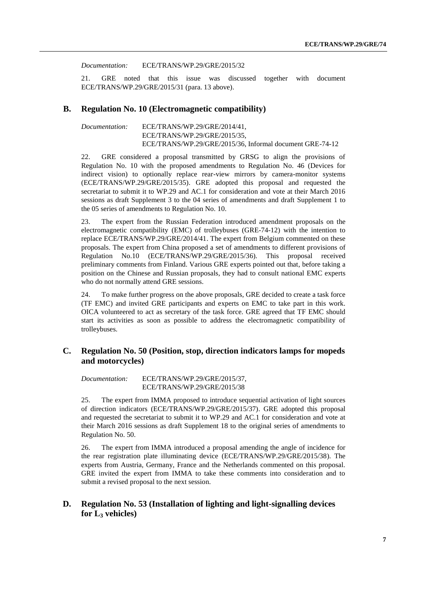*Documentation:* ECE/TRANS/WP.29/GRE/2015/32

21. GRE noted that this issue was discussed together with document ECE/TRANS/WP.29/GRE/2015/31 (para. 13 above).

#### **B. Regulation No. 10 (Electromagnetic compatibility)**

*Documentation:* ECE/TRANS/WP.29/GRE/2014/41, ECE/TRANS/WP.29/GRE/2015/35, ECE/TRANS/WP.29/GRE/2015/36, Informal document GRE-74-12

22. GRE considered a proposal transmitted by GRSG to align the provisions of Regulation No. 10 with the proposed amendments to Regulation No. 46 (Devices for indirect vision) to optionally replace rear-view mirrors by camera-monitor systems (ECE/TRANS/WP.29/GRE/2015/35). GRE adopted this proposal and requested the secretariat to submit it to WP.29 and AC.1 for consideration and vote at their March 2016 sessions as draft Supplement 3 to the 04 series of amendments and draft Supplement 1 to the 05 series of amendments to Regulation No. 10.

23. The expert from the Russian Federation introduced amendment proposals on the electromagnetic compatibility (EMC) of trolleybuses (GRE-74-12) with the intention to replace ECE/TRANS/WP.29/GRE/2014/41. The expert from Belgium commented on these proposals. The expert from China proposed a set of amendments to different provisions of Regulation No.10 (ECE/TRANS/WP.29/GRE/2015/36). This proposal received preliminary comments from Finland. Various GRE experts pointed out that, before taking a position on the Chinese and Russian proposals, they had to consult national EMC experts who do not normally attend GRE sessions.

24. To make further progress on the above proposals, GRE decided to create a task force (TF EMC) and invited GRE participants and experts on EMC to take part in this work. OICA volunteered to act as secretary of the task force. GRE agreed that TF EMC should start its activities as soon as possible to address the electromagnetic compatibility of trolleybuses.

#### **C. Regulation No. 50 (Position, stop, direction indicators lamps for mopeds and motorcycles)**

*Documentation:* ECE/TRANS/WP.29/GRE/2015/37, ECE/TRANS/WP.29/GRE/2015/38

25. The expert from IMMA proposed to introduce sequential activation of light sources of direction indicators (ECE/TRANS/WP.29/GRE/2015/37). GRE adopted this proposal and requested the secretariat to submit it to WP.29 and AC.1 for consideration and vote at their March 2016 sessions as draft Supplement 18 to the original series of amendments to Regulation No. 50.

26. The expert from IMMA introduced a proposal amending the angle of incidence for the rear registration plate illuminating device (ECE/TRANS/WP.29/GRE/2015/38). The experts from Austria, Germany, France and the Netherlands commented on this proposal. GRE invited the expert from IMMA to take these comments into consideration and to submit a revised proposal to the next session.

#### **D. Regulation No. 53 (Installation of lighting and light-signalling devices for L<sup>3</sup> vehicles)**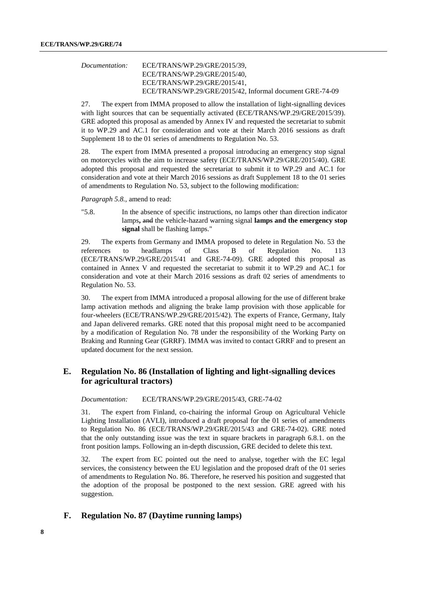| Documentation: | ECE/TRANS/WP.29/GRE/2015/39.                             |
|----------------|----------------------------------------------------------|
|                | ECE/TRANS/WP.29/GRE/2015/40,                             |
|                | ECE/TRANS/WP.29/GRE/2015/41,                             |
|                | ECE/TRANS/WP.29/GRE/2015/42, Informal document GRE-74-09 |

27. The expert from IMMA proposed to allow the installation of light-signalling devices with light sources that can be sequentially activated (ECE/TRANS/WP.29/GRE/2015/39). GRE adopted this proposal as amended by Annex IV and requested the secretariat to submit it to WP.29 and AC.1 for consideration and vote at their March 2016 sessions as draft Supplement 18 to the 01 series of amendments to Regulation No. 53.

28. The expert from IMMA presented a proposal introducing an emergency stop signal on motorcycles with the aim to increase safety (ECE/TRANS/WP.29/GRE/2015/40). GRE adopted this proposal and requested the secretariat to submit it to WP.29 and AC.1 for consideration and vote at their March 2016 sessions as draft Supplement 18 to the 01 series of amendments to Regulation No. 53, subject to the following modification:

*Paragraph 5.8.,* amend to read:

"5.8. In the absence of specific instructions, no lamps other than direction indicator lamps**,** and the vehicle-hazard warning signal **lamps and the emergency stop signal** shall be flashing lamps."

29. The experts from Germany and IMMA proposed to delete in Regulation No. 53 the references to headlamps of Class B of Regulation No. 113 (ECE/TRANS/WP.29/GRE/2015/41 and GRE-74-09). GRE adopted this proposal as contained in Annex V and requested the secretariat to submit it to WP.29 and AC.1 for consideration and vote at their March 2016 sessions as draft 02 series of amendments to Regulation No. 53.

30. The expert from IMMA introduced a proposal allowing for the use of different brake lamp activation methods and aligning the brake lamp provision with those applicable for four-wheelers (ECE/TRANS/WP.29/GRE/2015/42). The experts of France, Germany, Italy and Japan delivered remarks. GRE noted that this proposal might need to be accompanied by a modification of Regulation No. 78 under the responsibility of the Working Party on Braking and Running Gear (GRRF). IMMA was invited to contact GRRF and to present an updated document for the next session.

#### **E. Regulation No. 86 (Installation of lighting and light-signalling devices for agricultural tractors)**

*Documentation:* ECE/TRANS/WP.29/GRE/2015/43, GRE-74-02

31. The expert from Finland, co-chairing the informal Group on Agricultural Vehicle Lighting Installation (AVLI), introduced a draft proposal for the 01 series of amendments to Regulation No. 86 (ECE/TRANS/WP.29/GRE/2015/43 and GRE-74-02). GRE noted that the only outstanding issue was the text in square brackets in paragraph 6.8.1. on the front position lamps. Following an in-depth discussion, GRE decided to delete this text.

32. The expert from EC pointed out the need to analyse, together with the EC legal services, the consistency between the EU legislation and the proposed draft of the 01 series of amendments to Regulation No. 86. Therefore, he reserved his position and suggested that the adoption of the proposal be postponed to the next session. GRE agreed with his suggestion.

#### **F. Regulation No. 87 (Daytime running lamps)**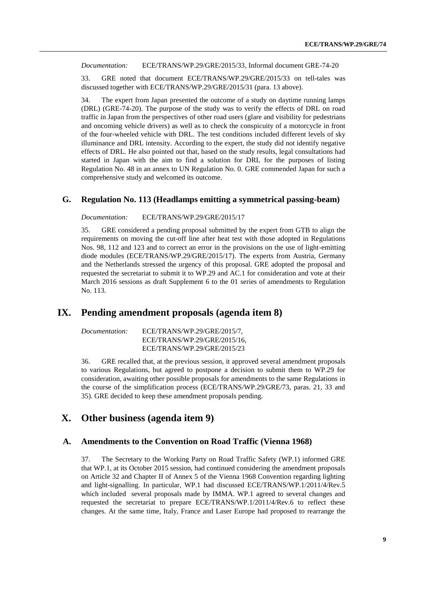*Documentation:* ECE/TRANS/WP.29/GRE/2015/33, Informal document GRE-74-20

33. GRE noted that document ECE/TRANS/WP.29/GRE/2015/33 on tell-tales was discussed together with ECE/TRANS/WP.29/GRE/2015/31 (para. 13 above).

34. The expert from Japan presented the outcome of a study on daytime running lamps (DRL) (GRE-74-20). The purpose of the study was to verify the effects of DRL on road traffic in Japan from the perspectives of other road users (glare and visibility for pedestrians and oncoming vehicle drivers) as well as to check the conspicuity of a motorcycle in front of the four-wheeled vehicle with DRL. The test conditions included different levels of sky illuminance and DRL intensity. According to the expert, the study did not identify negative effects of DRL. He also pointed out that, based on the study results, legal consultations had started in Japan with the aim to find a solution for DRL for the purposes of listing Regulation No. 48 in an annex to UN Regulation No. 0. GRE commended Japan for such a comprehensive study and welcomed its outcome.

#### **G. Regulation No. 113 (Headlamps emitting a symmetrical passing-beam)**

#### *Documentation:* ECE/TRANS/WP.29/GRE/2015/17

35. GRE considered a pending proposal submitted by the expert from GTB to align the requirements on moving the cut-off line after heat test with those adopted in Regulations Nos. 98, 112 and 123 and to correct an error in the provisions on the use of light-emitting diode modules (ECE/TRANS/WP.29/GRE/2015/17). The experts from Austria, Germany and the Netherlands stressed the urgency of this proposal. GRE adopted the proposal and requested the secretariat to submit it to WP.29 and AC.1 for consideration and vote at their March 2016 sessions as draft Supplement 6 to the 01 series of amendments to Regulation No. 113.

#### **IX. Pending amendment proposals (agenda item 8)**

| Documentation: | ECE/TRANS/WP.29/GRE/2015/7.  |
|----------------|------------------------------|
|                | ECE/TRANS/WP.29/GRE/2015/16. |
|                | ECE/TRANS/WP.29/GRE/2015/23  |

36. GRE recalled that, at the previous session, it approved several amendment proposals to various Regulations, but agreed to postpone a decision to submit them to WP.29 for consideration, awaiting other possible proposals for amendments to the same Regulations in the course of the simplification process (ECE/TRANS/WP.29/GRE/73, paras. 21, 33 and 35). GRE decided to keep these amendment proposals pending.

## **X. Other business (agenda item 9)**

#### **A. Amendments to the Convention on Road Traffic (Vienna 1968)**

37. The Secretary to the Working Party on Road Traffic Safety (WP.1) informed GRE that WP.1, at its October 2015 session, had continued considering the amendment proposals on Article 32 and Chapter II of Annex 5 of the Vienna 1968 Convention regarding lighting and light-signalling. In particular, WP.1 had discussed ECE/TRANS/WP.1/2011/4/Rev.5 which included several proposals made by IMMA. WP.1 agreed to several changes and requested the secretariat to prepare ECE/TRANS/WP.1/2011/4/Rev.6 to reflect these changes. At the same time, Italy, France and Laser Europe had proposed to rearrange the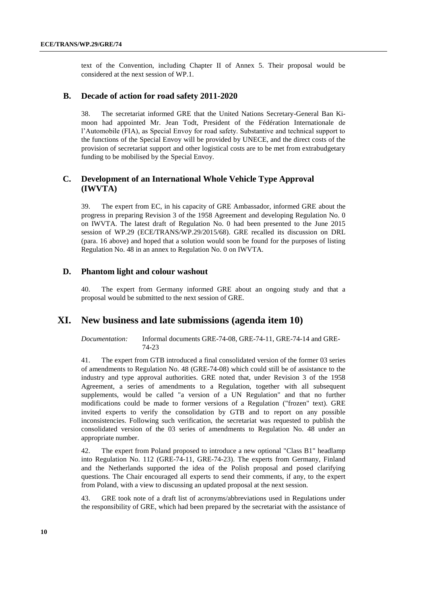text of the Convention, including Chapter II of Annex 5. Their proposal would be considered at the next session of WP.1.

#### **B. Decade of action for road safety 2011-2020**

38. The secretariat informed GRE that the United Nations Secretary-General Ban Kimoon had appointed Mr. Jean Todt, President of the Fédération Internationale de l'Automobile (FIA), as Special Envoy for road safety. Substantive and technical support to the functions of the Special Envoy will be provided by UNECE, and the direct costs of the provision of secretariat support and other logistical costs are to be met from extrabudgetary funding to be mobilised by the Special Envoy.

#### **C. Development of an International Whole Vehicle Type Approval (IWVTA)**

39. The expert from EC, in his capacity of GRE Ambassador, informed GRE about the progress in preparing Revision 3 of the 1958 Agreement and developing Regulation No. 0 on IWVTA. The latest draft of Regulation No. 0 had been presented to the June 2015 session of WP.29 (ECE/TRANS/WP.29/2015/68). GRE recalled its discussion on DRL (para. 16 above) and hoped that a solution would soon be found for the purposes of listing Regulation No. 48 in an annex to Regulation No. 0 on IWVTA.

#### **D. Phantom light and colour washout**

40. The expert from Germany informed GRE about an ongoing study and that a proposal would be submitted to the next session of GRE.

#### **XI. New business and late submissions (agenda item 10)**

*Documentation:* Informal documents GRE-74-08, GRE-74-11, GRE-74-14 and GRE-74-23

41. The expert from GTB introduced a final consolidated version of the former 03 series of amendments to Regulation No. 48 (GRE-74-08) which could still be of assistance to the industry and type approval authorities. GRE noted that, under Revision 3 of the 1958 Agreement, a series of amendments to a Regulation, together with all subsequent supplements, would be called "a version of a UN Regulation" and that no further modifications could be made to former versions of a Regulation ("frozen" text). GRE invited experts to verify the consolidation by GTB and to report on any possible inconsistencies. Following such verification, the secretariat was requested to publish the consolidated version of the 03 series of amendments to Regulation No. 48 under an appropriate number.

42. The expert from Poland proposed to introduce a new optional "Class B1" headlamp into Regulation No. 112 (GRE-74-11, GRE-74-23). The experts from Germany, Finland and the Netherlands supported the idea of the Polish proposal and posed clarifying questions. The Chair encouraged all experts to send their comments, if any, to the expert from Poland, with a view to discussing an updated proposal at the next session.

43. GRE took note of a draft list of acronyms/abbreviations used in Regulations under the responsibility of GRE, which had been prepared by the secretariat with the assistance of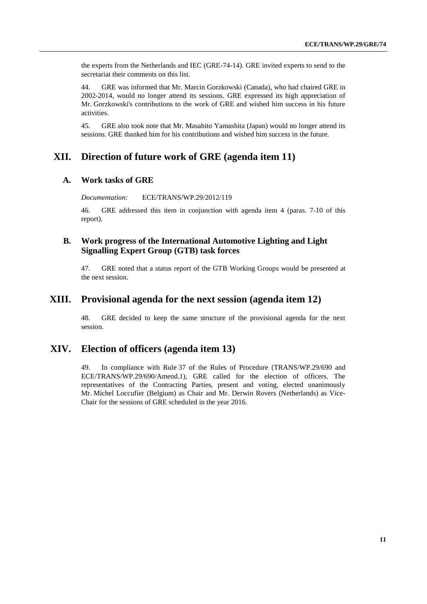the experts from the Netherlands and IEC (GRE-74-14). GRE invited experts to send to the secretariat their comments on this list.

44. GRE was informed that Mr. Marcin Gorzkowski (Canada), who had chaired GRE in 2002-2014, would no longer attend its sessions. GRE expressed its high appreciation of Mr. Gorzkowski's contributions to the work of GRE and wished him success in his future activities.

45. GRE also took note that Mr. Masahito Yamashita (Japan) would no longer attend its sessions. GRE thanked him for his contributions and wished him success in the future.

## **XII. Direction of future work of GRE (agenda item 11)**

#### **A. Work tasks of GRE**

*Documentation:* ECE/TRANS/WP.29/2012/119

46. GRE addressed this item in conjunction with agenda item 4 (paras. 7-10 of this report).

#### **B. Work progress of the International Automotive Lighting and Light Signalling Expert Group (GTB) task forces**

47. GRE noted that a status report of the GTB Working Groups would be presented at the next session.

#### **XIII. Provisional agenda for the next session (agenda item 12)**

48. GRE decided to keep the same structure of the provisional agenda for the next session.

## **XIV. Election of officers (agenda item 13)**

49. In compliance with Rule 37 of the Rules of Procedure (TRANS/WP.29/690 and ECE/TRANS/WP.29/690/Amend.1), GRE called for the election of officers. The representatives of the Contracting Parties, present and voting, elected unanimously Mr. Michel Loccufier (Belgium) as Chair and Mr. Derwin Rovers (Netherlands) as Vice-Chair for the sessions of GRE scheduled in the year 2016.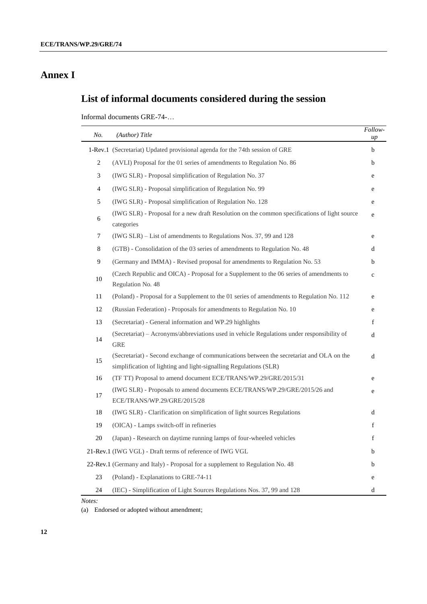# **Annex I**

# <span id="page-11-0"></span>**List of informal documents considered during the session**

Informal documents GRE-74-…

| No.            | (Author) Title                                                                                                                                                | Follow-<br>$\mu$ |
|----------------|---------------------------------------------------------------------------------------------------------------------------------------------------------------|------------------|
|                | 1-Rev.1 (Secretariat) Updated provisional agenda for the 74th session of GRE                                                                                  | b                |
| 2              | (AVLI) Proposal for the 01 series of amendments to Regulation No. 86                                                                                          | $\mathbf b$      |
| $\mathfrak{Z}$ | (IWG SLR) - Proposal simplification of Regulation No. 37                                                                                                      | e                |
| $\overline{4}$ | (IWG SLR) - Proposal simplification of Regulation No. 99                                                                                                      | e                |
| 5              | (IWG SLR) - Proposal simplification of Regulation No. 128                                                                                                     | e                |
| 6              | (IWG SLR) - Proposal for a new draft Resolution on the common specifications of light source<br>categories                                                    | e                |
| 7              | (IWG SLR) – List of amendments to Regulations Nos. 37, 99 and 128                                                                                             | e                |
| 8              | (GTB) - Consolidation of the 03 series of amendments to Regulation No. 48                                                                                     | d                |
| 9              | (Germany and IMMA) - Revised proposal for amendments to Regulation No. 53                                                                                     | $\mathbf b$      |
| 10             | (Czech Republic and OICA) - Proposal for a Supplement to the 06 series of amendments to<br>Regulation No. 48                                                  | $\mathbf c$      |
| 11             | (Poland) - Proposal for a Supplement to the 01 series of amendments to Regulation No. 112                                                                     | $\mathbf{e}$     |
| 12             | (Russian Federation) - Proposals for amendments to Regulation No. 10                                                                                          | e                |
| 13             | (Secretariat) - General information and WP.29 highlights                                                                                                      | f                |
| 14             | (Secretariat) – Acronyms/abbreviations used in vehicle Regulations under responsibility of<br><b>GRE</b>                                                      | d                |
| 15             | (Secretariat) - Second exchange of communications between the secretariat and OLA on the<br>simplification of lighting and light-signalling Regulations (SLR) | d                |
| 16             | (TF TT) Proposal to amend document ECE/TRANS/WP.29/GRE/2015/31                                                                                                | $\mathbf{e}$     |
| 17             | (IWG SLR) - Proposals to amend documents ECE/TRANS/WP.29/GRE/2015/26 and<br>ECE/TRANS/WP.29/GRE/2015/28                                                       | e                |
| 18             | (IWG SLR) - Clarification on simplification of light sources Regulations                                                                                      | d                |
| 19             | (OICA) - Lamps switch-off in refineries                                                                                                                       | f                |
| 20             | (Japan) - Research on daytime running lamps of four-wheeled vehicles                                                                                          | $f_{\rm}$        |
|                | 21-Rev.1 (IWG VGL) - Draft terms of reference of IWG VGL                                                                                                      | $\mathbf b$      |
|                | 22-Rev.1 (Germany and Italy) - Proposal for a supplement to Regulation No. 48                                                                                 | $\mathbf b$      |
| 23             | (Poland) - Explanations to GRE-74-11                                                                                                                          | e                |
| 24             | (IEC) - Simplification of Light Sources Regulations Nos. 37, 99 and 128                                                                                       | d                |

*Notes:*

(a) Endorsed or adopted without amendment;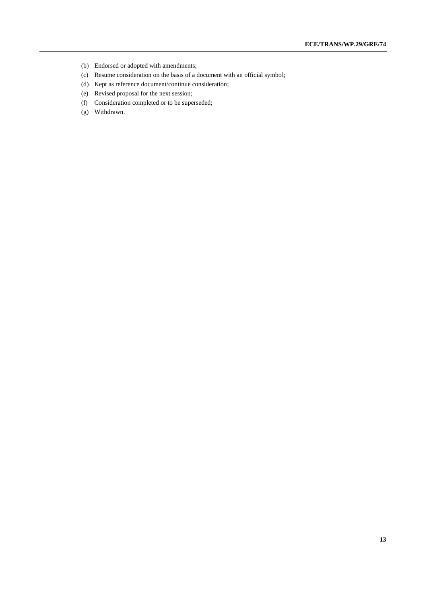- (b) Endorsed or adopted with amendments;
- (c) Resume consideration on the basis of a document with an official symbol;
- (d) Kept as reference document/continue consideration;
- (e) Revised proposal for the next session;
- (f) Consideration completed or to be superseded;
- (g) Withdrawn.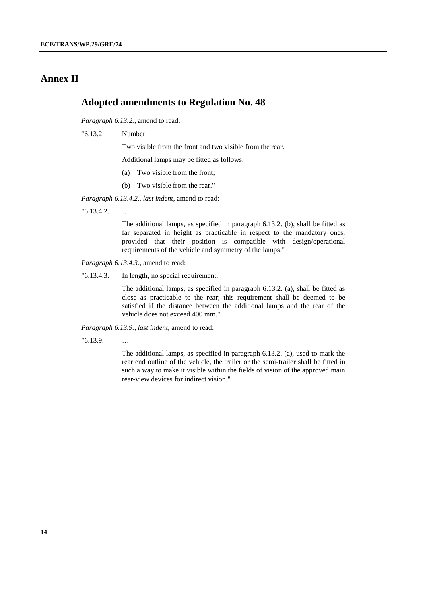## <span id="page-13-0"></span>**Annex II**

# **Adopted amendments to Regulation No. 48**

*Paragraph 6.13.2.*, amend to read:

"6.13.2. Number

Two visible from the front and two visible from the rear.

Additional lamps may be fitted as follows:

- (a) Two visible from the front;
- (b) Two visible from the rear."

*Paragraph 6.13.4.2., last indent*, amend to read:

"6.13.4.2. …

The additional lamps, as specified in paragraph 6.13.2. (b), shall be fitted as far separated in height as practicable in respect to the mandatory ones, provided that their position is compatible with design/operational requirements of the vehicle and symmetry of the lamps."

*Paragraph 6.13.4.3.*, amend to read:

"6.13.4.3. In length, no special requirement.

The additional lamps, as specified in paragraph 6.13.2. (a), shall be fitted as close as practicable to the rear; this requirement shall be deemed to be satisfied if the distance between the additional lamps and the rear of the vehicle does not exceed 400 mm."

*Paragraph 6.13.9.*, *last indent,* amend to read:

"6.13.9. …

The additional lamps, as specified in paragraph 6.13.2. (a), used to mark the rear end outline of the vehicle, the trailer or the semi-trailer shall be fitted in such a way to make it visible within the fields of vision of the approved main rear-view devices for indirect vision."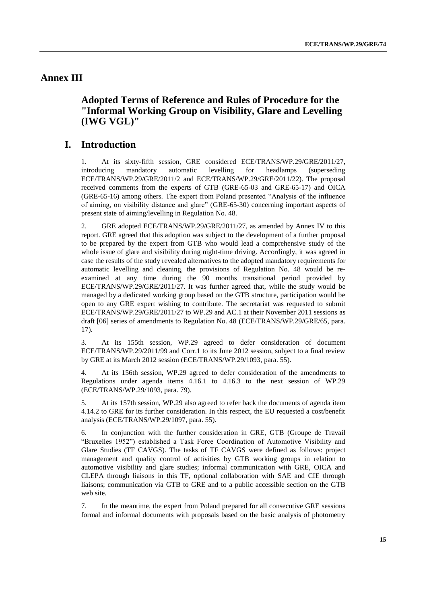## **Annex III**

## **Adopted Terms of Reference and Rules of Procedure for the "Informal Working Group on Visibility, Glare and Levelling (IWG VGL)"**

## **I. Introduction**

1. At its sixty-fifth session, GRE considered ECE/TRANS/WP.29/GRE/2011/27, introducing mandatory automatic levelling for headlamps (superseding ECE/TRANS/WP.29/GRE/2011/2 and ECE/TRANS/WP.29/GRE/2011/22). The proposal received comments from the experts of GTB (GRE-65-03 and GRE-65-17) and OICA (GRE-65-16) among others. The expert from Poland presented "Analysis of the influence of aiming, on visibility distance and glare" (GRE-65-30) concerning important aspects of present state of aiming/levelling in Regulation No. 48.

2. GRE adopted ECE/TRANS/WP.29/GRE/2011/27, as amended by Annex IV to this report. GRE agreed that this adoption was subject to the development of a further proposal to be prepared by the expert from GTB who would lead a comprehensive study of the whole issue of glare and visibility during night-time driving. Accordingly, it was agreed in case the results of the study revealed alternatives to the adopted mandatory requirements for automatic levelling and cleaning, the provisions of Regulation No. 48 would be reexamined at any time during the 90 months transitional period provided by ECE/TRANS/WP.29/GRE/2011/27. It was further agreed that, while the study would be managed by a dedicated working group based on the GTB structure, participation would be open to any GRE expert wishing to contribute. The secretariat was requested to submit ECE/TRANS/WP.29/GRE/2011/27 to WP.29 and AC.1 at their November 2011 sessions as draft [06] series of amendments to Regulation No. 48 (ECE/TRANS/WP.29/GRE/65, para. 17).

3. At its 155th session, WP.29 agreed to defer consideration of document ECE/TRANS/WP.29/2011/99 and Corr.1 to its June 2012 session, subject to a final review by GRE at its March 2012 session (ECE/TRANS/WP.29/1093, para. 55).

4. At its 156th session, WP.29 agreed to defer consideration of the amendments to Regulations under agenda items 4.16.1 to 4.16.3 to the next session of WP.29 (ECE/TRANS/WP.29/1093, para. 79).

5. At its 157th session, WP.29 also agreed to refer back the documents of agenda item 4.14.2 to GRE for its further consideration. In this respect, the EU requested a cost/benefit analysis (ECE/TRANS/WP.29/1097, para. 55).

6. In conjunction with the further consideration in GRE, GTB (Groupe de Travail "Bruxelles 1952") established a Task Force Coordination of Automotive Visibility and Glare Studies (TF CAVGS). The tasks of TF CAVGS were defined as follows: project management and quality control of activities by GTB working groups in relation to automotive visibility and glare studies; informal communication with GRE, OICA and CLEPA through liaisons in this TF, optional collaboration with SAE and CIE through liaisons; communication via GTB to GRE and to a public accessible section on the GTB web site.

7. In the meantime, the expert from Poland prepared for all consecutive GRE sessions formal and informal documents with proposals based on the basic analysis of photometry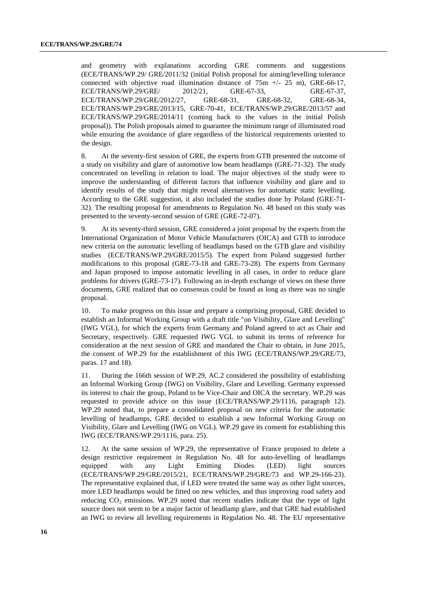and geometry with explanations according GRE comments and suggestions (ECE/TRANS/WP.29/ GRE/2011/32 (initial Polish proposal for aiming/levelling tolerance connected with objective road illumination distance of  $75m$  +/- 25 m), GRE-66-17, ECE/TRANS/WP.29/GRE/ 2012/21, GRE-67-33, GRE-67-37, ECE/TRANS/WP.29/GRE/2012/27, GRE-68-31, GRE-68-32, GRE-68-34, ECE/TRANS/WP.29/GRE/2013/15, GRE-70-41, ECE/TRANS/WP.29/GRE/2013/57 and ECE/TRANS/WP.29/GRE/2014/11 (coming back to the values in the initial Polish proposal)). The Polish proposals aimed to guarantee the minimum range of illuminated road while ensuring the avoidance of glare regardless of the historical requirements oriented to the design.

8. At the seventy-first session of GRE, the experts from GTB presented the outcome of a study on visibility and glare of automotive low beam headlamps (GRE-71-32). The study concentrated on levelling in relation to load. The major objectives of the study were to improve the understanding of different factors that influence visibility and glare and to identify results of the study that might reveal alternatives for automatic static levelling. According to the GRE suggestion, it also included the studies done by Poland (GRE-71- 32). The resulting proposal for amendments to Regulation No. 48 based on this study was presented to the seventy-second session of GRE (GRE-72-07).

9. At its seventy-third session, GRE considered a joint proposal by the experts from the International Organization of Motor Vehicle Manufacturers (OICA) and GTB to introduce new criteria on the automatic levelling of headlamps based on the GTB glare and visibility studies (ECE/TRANS/WP.29/GRE/2015/5). The expert from Poland suggested further modifications to this proposal (GRE-73-18 and GRE-73-28). The experts from Germany and Japan proposed to impose automatic levelling in all cases, in order to reduce glare problems for drivers (GRE-73-17). Following an in-depth exchange of views on these three documents, GRE realized that no consensus could be found as long as there was no single proposal.

10. To make progress on this issue and prepare a comprising proposal, GRE decided to establish an Informal Working Group with a draft title "on Visibility, Glare and Levelling" (IWG VGL), for which the experts from Germany and Poland agreed to act as Chair and Secretary, respectively. GRE requested IWG VGL to submit its terms of reference for consideration at the next session of GRE and mandated the Chair to obtain, in June 2015, the consent of WP.29 for the establishment of this IWG (ECE/TRANS/WP.29/GRE/73, paras. 17 and 18).

11. During the 166th session of WP.29, AC.2 considered the possibility of establishing an Informal Working Group (IWG) on Visibility, Glare and Levelling. Germany expressed its interest to chair the group, Poland to be Vice-Chair and OICA the secretary. WP.29 was requested to provide advice on this issue (ECE/TRANS/WP.29/1116, paragraph 12). WP.29 noted that, to prepare a consolidated proposal on new criteria for the automatic levelling of headlamps, GRE decided to establish a new Informal Working Group on Visibility, Glare and Levelling (IWG on VGL). WP.29 gave its consent for establishing this IWG (ECE/TRANS/WP.29/1116, para. 25).

12. At the same session of WP.29, the representative of France proposed to delete a design restrictive requirement in Regulation No. 48 for auto-levelling of headlamps equipped with any Light Emitting Diodes (LED) light sources (ECE/TRANS/WP.29/GRE/2015/21, ECE/TRANS/WP.29/GRE/73 and WP.29-166-23). The representative explained that, if LED were treated the same way as other light sources, more LED headlamps would be fitted on new vehicles, and thus improving road safety and reducing  $CO<sub>2</sub>$  emissions. WP.29 noted that recent studies indicate that the type of light source does not seem to be a major factor of headlamp glare, and that GRE had established an IWG to review all levelling requirements in Regulation No. 48. The EU representative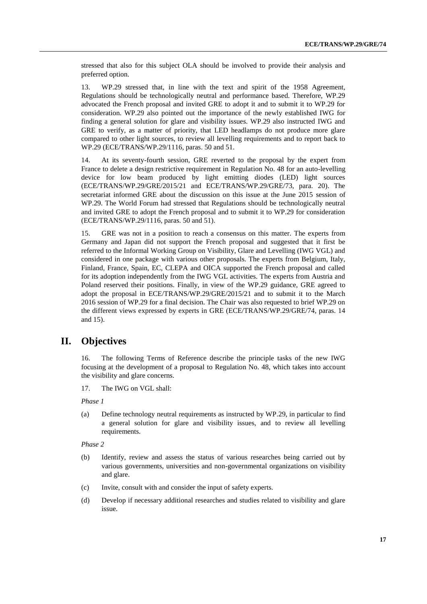stressed that also for this subject OLA should be involved to provide their analysis and preferred option.

13. WP.29 stressed that, in line with the text and spirit of the 1958 Agreement, Regulations should be technologically neutral and performance based. Therefore, WP.29 advocated the French proposal and invited GRE to adopt it and to submit it to WP.29 for consideration. WP.29 also pointed out the importance of the newly established IWG for finding a general solution for glare and visibility issues. WP.29 also instructed IWG and GRE to verify, as a matter of priority, that LED headlamps do not produce more glare compared to other light sources, to review all levelling requirements and to report back to WP.29 (ECE/TRANS/WP.29/1116, paras. 50 and 51.

14. At its seventy-fourth session, GRE reverted to the proposal by the expert from France to delete a design restrictive requirement in Regulation No. 48 for an auto-levelling device for low beam produced by light emitting diodes (LED) light sources (ECE/TRANS/WP.29/GRE/2015/21 and ECE/TRANS/WP.29/GRE/73, para. 20). The secretariat informed GRE about the discussion on this issue at the June 2015 session of WP.29. The World Forum had stressed that Regulations should be technologically neutral and invited GRE to adopt the French proposal and to submit it to WP.29 for consideration (ECE/TRANS/WP.29/1116, paras. 50 and 51).

15. GRE was not in a position to reach a consensus on this matter. The experts from Germany and Japan did not support the French proposal and suggested that it first be referred to the Informal Working Group on Visibility, Glare and Levelling (IWG VGL) and considered in one package with various other proposals. The experts from Belgium, Italy, Finland, France, Spain, EC, CLEPA and OICA supported the French proposal and called for its adoption independently from the IWG VGL activities. The experts from Austria and Poland reserved their positions. Finally, in view of the WP.29 guidance, GRE agreed to adopt the proposal in ECE/TRANS/WP.29/GRE/2015/21 and to submit it to the March 2016 session of WP.29 for a final decision. The Chair was also requested to brief WP.29 on the different views expressed by experts in GRE (ECE/TRANS/WP.29/GRE/74, paras. 14 and 15).

### **II. Objectives**

16. The following Terms of Reference describe the principle tasks of the new IWG focusing at the development of a proposal to Regulation No. 48, which takes into account the visibility and glare concerns.

17. The IWG on VGL shall:

*Phase 1*

(a) Define technology neutral requirements as instructed by WP.29, in particular to find a general solution for glare and visibility issues, and to review all levelling requirements.

*Phase 2*

- (b) Identify, review and assess the status of various researches being carried out by various governments, universities and non-governmental organizations on visibility and glare.
- (c) Invite, consult with and consider the input of safety experts.
- (d) Develop if necessary additional researches and studies related to visibility and glare issue.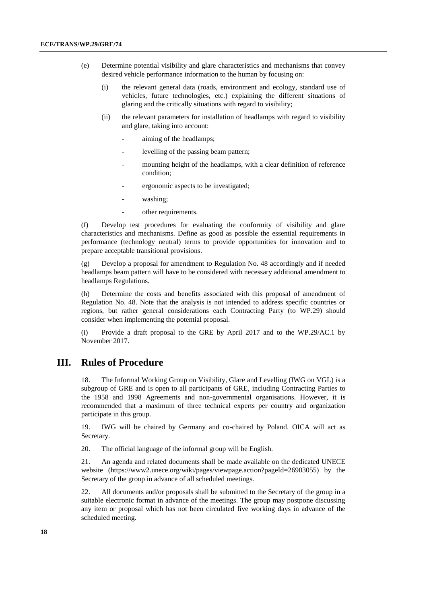- (e) Determine potential visibility and glare characteristics and mechanisms that convey desired vehicle performance information to the human by focusing on:
	- (i) the relevant general data (roads, environment and ecology, standard use of vehicles, future technologies, etc.) explaining the different situations of glaring and the critically situations with regard to visibility;
	- (ii) the relevant parameters for installation of headlamps with regard to visibility and glare, taking into account:
		- aiming of the headlamps;
		- levelling of the passing beam pattern;
		- mounting height of the headlamps, with a clear definition of reference condition;
		- ergonomic aspects to be investigated;
		- washing;
		- other requirements.

(f) Develop test procedures for evaluating the conformity of visibility and glare characteristics and mechanisms. Define as good as possible the essential requirements in performance (technology neutral) terms to provide opportunities for innovation and to prepare acceptable transitional provisions.

(g) Develop a proposal for amendment to Regulation No. 48 accordingly and if needed headlamps beam pattern will have to be considered with necessary additional amendment to headlamps Regulations.

(h) Determine the costs and benefits associated with this proposal of amendment of Regulation No. 48. Note that the analysis is not intended to address specific countries or regions, but rather general considerations each Contracting Party (to WP.29) should consider when implementing the potential proposal.

(i) Provide a draft proposal to the GRE by April 2017 and to the WP.29/AC.1 by November 2017.

#### **III. Rules of Procedure**

18. The Informal Working Group on Visibility, Glare and Levelling (IWG on VGL) is a subgroup of GRE and is open to all participants of GRE, including Contracting Parties to the 1958 and 1998 Agreements and non-governmental organisations. However, it is recommended that a maximum of three technical experts per country and organization participate in this group.

19. IWG will be chaired by Germany and co-chaired by Poland. OICA will act as Secretary.

20. The official language of the informal group will be English.

21. An agenda and related documents shall be made available on the dedicated UNECE website (https://www2.unece.org/wiki/pages/viewpage.action?pageId=26903055) by the Secretary of the group in advance of all scheduled meetings.

22. All documents and/or proposals shall be submitted to the Secretary of the group in a suitable electronic format in advance of the meetings. The group may postpone discussing any item or proposal which has not been circulated five working days in advance of the scheduled meeting.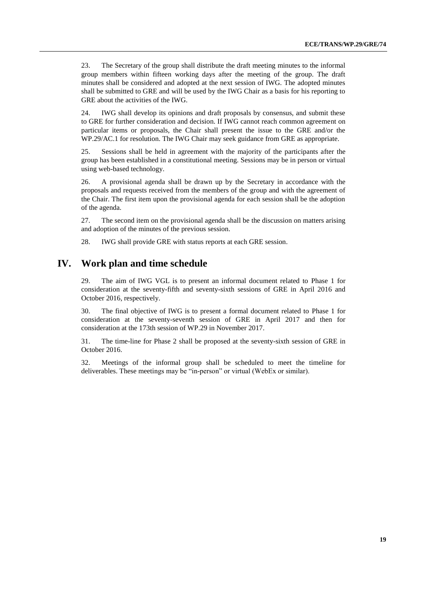23. The Secretary of the group shall distribute the draft meeting minutes to the informal group members within fifteen working days after the meeting of the group. The draft minutes shall be considered and adopted at the next session of IWG. The adopted minutes shall be submitted to GRE and will be used by the IWG Chair as a basis for his reporting to GRE about the activities of the IWG.

24. IWG shall develop its opinions and draft proposals by consensus, and submit these to GRE for further consideration and decision. If IWG cannot reach common agreement on particular items or proposals, the Chair shall present the issue to the GRE and/or the WP.29/AC.1 for resolution. The IWG Chair may seek guidance from GRE as appropriate.

25. Sessions shall be held in agreement with the majority of the participants after the group has been established in a constitutional meeting. Sessions may be in person or virtual using web-based technology.

26. A provisional agenda shall be drawn up by the Secretary in accordance with the proposals and requests received from the members of the group and with the agreement of the Chair. The first item upon the provisional agenda for each session shall be the adoption of the agenda.

27. The second item on the provisional agenda shall be the discussion on matters arising and adoption of the minutes of the previous session.

28. IWG shall provide GRE with status reports at each GRE session.

## **IV. Work plan and time schedule**

29. The aim of IWG VGL is to present an informal document related to Phase 1 for consideration at the seventy-fifth and seventy-sixth sessions of GRE in April 2016 and October 2016, respectively.

30. The final objective of IWG is to present a formal document related to Phase 1 for consideration at the seventy-seventh session of GRE in April 2017 and then for consideration at the 173th session of WP.29 in November 2017.

31. The time-line for Phase 2 shall be proposed at the seventy-sixth session of GRE in October 2016.

32. Meetings of the informal group shall be scheduled to meet the timeline for deliverables. These meetings may be "in-person" or virtual (WebEx or similar).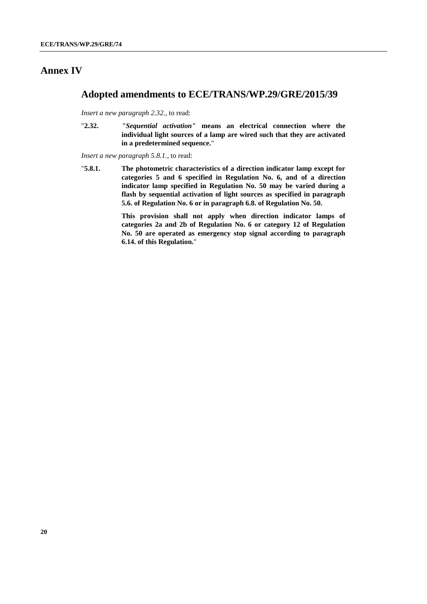## **Annex IV**

#### **Adopted amendments to ECE/TRANS/WP.29/GRE/2015/39**

*Insert a new paragraph 2.32.,* to read:

"**2.32.** *"Sequential activation"* **means an electrical connection where the individual light sources of a lamp are wired such that they are activated in a predetermined sequence.**"

*Insert a new paragraph 5.8.1.,* to read:

"**5.8.1. The photometric characteristics of a direction indicator lamp except for categories 5 and 6 specified in Regulation No. 6, and of a direction indicator lamp specified in Regulation No. 50 may be varied during a flash by sequential activation of light sources as specified in paragraph 5.6. of Regulation No. 6 or in paragraph 6.8. of Regulation No. 50.**

> **This provision shall not apply when direction indicator lamps of categories 2a and 2b of Regulation No. 6 or category 12 of Regulation No. 50 are operated as emergency stop signal according to paragraph 6.14. of this Regulation.**"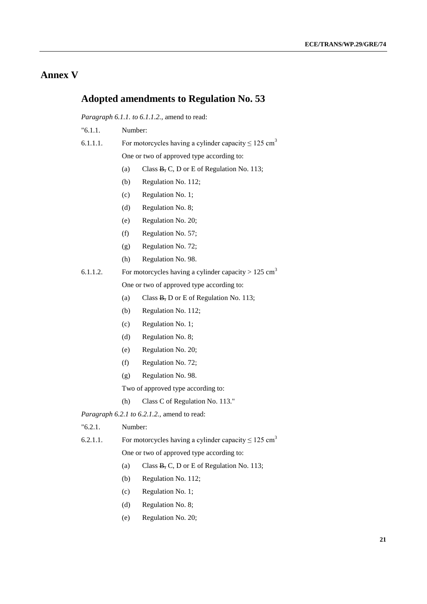## **Annex V**

## **Adopted amendments to Regulation No. 53**

*Paragraph 6.1.1. to 6.1.1.2.*, amend to read:

- "6.1.1. Number:
- 6.1.1.1. For motorcycles having a cylinder capacity  $\leq 125$  cm<sup>3</sup>

One or two of approved type according to:

- (a) Class B, C, D or E of Regulation No. 113;
- (b) Regulation No. 112;
- (c) Regulation No. 1;
- (d) Regulation No. 8;
- (e) Regulation No. 20;
- (f) Regulation No. 57;
- (g) Regulation No. 72;
- (h) Regulation No. 98.
- 6.1.1.2. For motorcycles having a cylinder capacity  $> 125$  cm<sup>3</sup>

One or two of approved type according to:

- (a) Class B, D or E of Regulation No. 113;
- (b) Regulation No. 112;
- (c) Regulation No. 1;
- (d) Regulation No. 8;
- (e) Regulation No. 20;
- (f) Regulation No. 72;
- (g) Regulation No. 98.
- Two of approved type according to:
- (h) Class C of Regulation No. 113."

*Paragraph 6.2.1 to 6.2.1.2.,* amend to read:

- "6.2.1. Number:
- 6.2.1.1. For motorcycles having a cylinder capacity  $\leq 125$  cm<sup>3</sup>

One or two of approved type according to:

- (a) Class B, C, D or E of Regulation No. 113;
- (b) Regulation No. 112;
- (c) Regulation No. 1;
- (d) Regulation No. 8;
- (e) Regulation No. 20;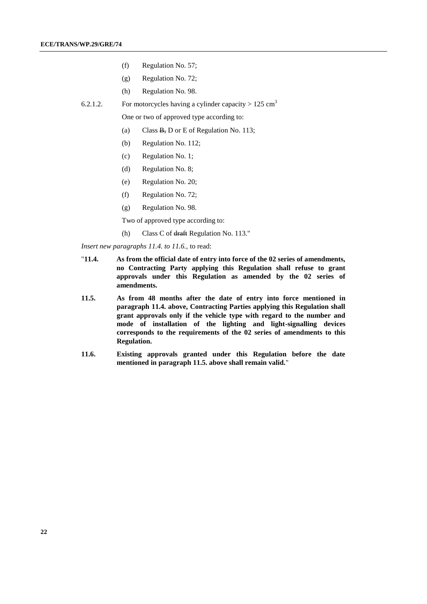- (f) Regulation No. 57;
- (g) Regulation No. 72;
- (h) Regulation No. 98.
- 6.2.1.2. For motorcycles having a cylinder capacity  $> 125$  cm<sup>3</sup>

One or two of approved type according to:

- (a) Class B, D or E of Regulation No. 113;
- (b) Regulation No. 112;
- (c) Regulation No. 1;
- (d) Regulation No. 8;
- (e) Regulation No. 20;
- (f) Regulation No. 72;
- (g) Regulation No. 98.

Two of approved type according to:

(h) Class C of draft Regulation No. 113."

*Insert new paragraphs 11.4. to 11.6.,* to read:

- "**11.4. As from the official date of entry into force of the 02 series of amendments, no Contracting Party applying this Regulation shall refuse to grant approvals under this Regulation as amended by the 02 series of amendments.**
- **11.5. As from 48 months after the date of entry into force mentioned in paragraph 11.4. above, Contracting Parties applying this Regulation shall grant approvals only if the vehicle type with regard to the number and mode of installation of the lighting and light-signalling devices corresponds to the requirements of the 02 series of amendments to this Regulation.**
- **11.6. Existing approvals granted under this Regulation before the date mentioned in paragraph 11.5. above shall remain valid.**"